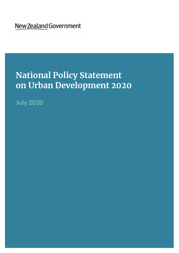New Zealand Government

# **National Policy Statement on Urban Development 2020**

**July 2020**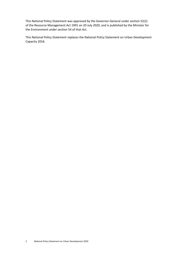This National Policy Statement was approved by the Governor-General under section 52(2) of the Resource Management Act 1991 on 20 July 2020, and is published by the Minister for the Environment under section 54 of that Act.

This National Policy Statement replaces the National Policy Statement on Urban Development Capacity 2016.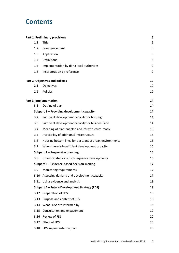## **Contents**

|                  | <b>Part 1: Preliminary provisions</b>                    | 5  |
|------------------|----------------------------------------------------------|----|
| 1.1              | Title                                                    | 5  |
| 1.2              | Commencement                                             | 5  |
| 1.3              | Application                                              | 5  |
| 1.4              | Definitions                                              | 5  |
| 1.5              | Implementation by tier 3 local authorities               | 9  |
| 1.6              | Incorporation by reference                               | 9  |
|                  | Part 2: Objectives and policies                          | 10 |
| 2.1              | Objectives                                               | 10 |
| $2.2\phantom{0}$ | Policies                                                 | 10 |
|                  | <b>Part 3: Implementation</b>                            | 14 |
| 3.1              | Outline of part                                          | 14 |
|                  | Subpart 1 - Providing development capacity               | 14 |
| 3.2              | Sufficient development capacity for housing              | 14 |
| 3.3              | Sufficient development capacity for business land        | 14 |
| 3.4              | Meaning of plan-enabled and infrastructure-ready         | 15 |
| 3.5              | Availability of additional infrastructure                | 15 |
| 3.6              | Housing bottom lines for tier 1 and 2 urban environments | 15 |
| 3.7              | When there is insufficient development capacity          | 16 |
|                  | Subpart 2 - Responsive planning                          | 16 |
| 3.8              | Unanticipated or out-of-sequence developments            | 16 |
|                  | Subpart 3 - Evidence-based decision-making               | 17 |
|                  | 3.9 Monitoring requirements                              | 17 |
|                  | 3.10 Assessing demand and development capacity           | 17 |
|                  | 3.11 Using evidence and analysis                         | 18 |
|                  | Subpart 4 - Future Development Strategy (FDS)            | 18 |
|                  | 3.12 Preparation of FDS                                  | 18 |
| 3.13             | Purpose and content of FDS                               | 18 |
|                  | 3.14 What FDSs are informed by                           | 19 |
| 3.15             | Consultation and engagement                              | 19 |
| 3.16             | Review of FDS                                            | 20 |
| 3.17             | <b>Effect of FDS</b>                                     | 20 |
| 3.18             | FDS implementation plan                                  | 20 |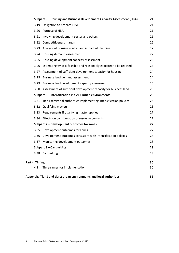|                |      | Subpart 5 - Housing and Business Development Capacity Assessment (HBA)    | 21 |
|----------------|------|---------------------------------------------------------------------------|----|
|                |      | 3.19 Obligation to prepare HBA                                            | 21 |
|                |      | 3.20 Purpose of HBA                                                       | 21 |
|                |      | 3.21 Involving development sector and others                              | 21 |
|                |      | 3.22 Competitiveness margin                                               | 22 |
|                | 3.23 | Analysis of housing market and impact of planning                         | 22 |
|                | 3.24 | Housing demand assessment                                                 | 22 |
|                | 3.25 | Housing development capacity assessment                                   | 23 |
|                |      | 3.26 Estimating what is feasible and reasonably expected to be realised   | 23 |
|                | 3.27 | Assessment of sufficient development capacity for housing                 | 24 |
|                |      | 3.28 Business land demand assessment                                      | 24 |
|                |      | 3.29 Business land development capacity assessment                        | 25 |
|                |      | 3.30 Assessment of sufficient development capacity for business land      | 25 |
|                |      | Subpart 6 - Intensification in tier 1 urban environments                  | 26 |
|                |      | 3.31 Tier 1 territorial authorities implementing intensification policies | 26 |
|                |      | 3.32 Qualifying matters                                                   | 26 |
|                |      | 3.33 Requirements if qualifying matter applies                            | 27 |
|                |      | 3.34 Effects on consideration of resource consents                        | 27 |
|                |      | Subpart 7 - Development outcomes for zones                                | 27 |
|                |      | 3.35 Development outcomes for zones                                       | 27 |
|                |      | 3.36 Development outcomes consistent with intensification policies        | 28 |
|                |      | 3.37 Monitoring development outcomes                                      | 28 |
|                |      | Subpart $8 - Car$ parking                                                 | 28 |
|                |      | 3.38 Car parking                                                          | 28 |
| Part 4: Timing |      |                                                                           | 30 |
|                | 4.1  | Timeframes for implementation                                             | 30 |
|                |      | Appendix: Tier 1 and tier 2 urban environments and local authorities      | 31 |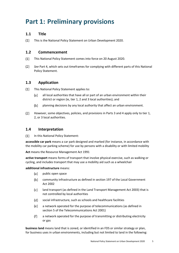## <span id="page-4-0"></span>**Part 1: Preliminary provisions**

#### <span id="page-4-1"></span>**1.1 Title**

 $(1)$ This is the National Policy Statement on Urban Development 2020.

#### <span id="page-4-2"></span>**1.2 Commencement**

- $(1)$ This National Policy Statement comes into force on 20 August 2020.
- $(2)$ *See* Part 4, which sets out timeframes for complying with different parts of this National Policy Statement.

#### <span id="page-4-3"></span>**1.3 Application**

- $(1)$ This National Policy Statement applies to:
	- $(a)$ all local authorities that have all or part of an urban environment within their district or region (ie, tier 1, 2 and 3 local authorities); and
	- $(b)$ planning decisions by any local authority that affect an urban environment.
- $(2)$ However, some objectives, policies, and provisions in Parts 3 and 4 apply only to tier 1, 2, or 3 local authorities.

#### <span id="page-4-4"></span>**1.4 Interpretation**

 $(1)$ In this National Policy Statement:

**accessible car park** means a car park designed and marked (for instance, in accordance with the mobility car parking scheme) for use by persons with a disability or with limited mobility

**Act** means the Resource Management Act 1991

**active transport** means forms of transport that involve physical exercise, such as walking or cycling, and includes transport that may use a mobility aid such as a wheelchair

**additional infrastructure** means:

- $(a)$ public open space
- $(b)$ community infrastructure as defined in section 197 of the Local Government Act 2002
- land transport (as defined in the Land Transport Management Act 2003) that is  $(c)$ not controlled by local authorities
- (d) social infrastructure, such as schools and healthcare facilities
- (e) a network operated for the purpose of telecommunications (as defined in section 5 of the Telecommunications Act 2001)
- a network operated for the purpose of transmitting or distributing electricity  $(f)$ or gas

**business land** means land that is zoned, or identified in an FDS or similar strategy or plan, for business uses in urban environments, including but not limited to land in the following: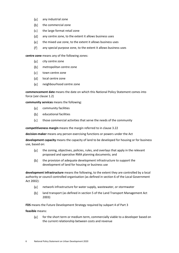- $(a)$ any industrial zone
- $(b)$ the commercial zone
- (c) the large format retail zone
- any centre zone, to the extent it allows business uses (d)
- (e) the mixed use zone, to the extent it allows business uses
- $(f)$ any special purpose zone, to the extent it allows business uses

**centre zone** means any of the following zones:

- (a) city centre zone
- $(b)$ metropolitan centre zone
- (c) town centre zone
- $(d)$ local centre zone
- (e) neighbourhood centre zone

**commencement date** means the date on which this National Policy Statement comes into force (*see* clause 1.2)

**community services** means the following:

- (a) community facilities
- $(b)$ educational facilities
- $(c)$ those commercial activities that serve the needs of the community

**competitiveness margin** means the margin referred to in clause 3.22

**decision-maker** means any person exercising functions or powers under the Act

**development capacity** means the capacity of land to be developed for housing or for business use, based on:

- the zoning, objectives, policies, rules, and overlays that apply in the relevant (a) proposed and operative RMA planning documents; and
- $(b)$ the provision of adequate development infrastructure to support the development of land for housing or business use

**development infrastructure** means the following, to the extent they are controlled by a local authority or council controlled organisation (as defined in section 6 of the Local Government Act 2002):

- $(a)$ network infrastructure for water supply, wastewater, or stormwater
- $(b)$ land transport (as defined in section 5 of the Land Transport Management Act 2003)

**FDS** means the Future Development Strategy required by subpart 4 of Part 3

**feasible** means:

for the short term or medium term, commercially viable to a developer based on (a) the current relationship between costs and revenue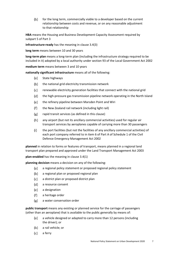$(b)$ for the long term, commercially viable to a developer based on the current relationship between costs and revenue, or on any reasonable adjustment to that relationship

**HBA** means the Housing and Business Development Capacity Assessment required by subpart 5 of Part 3

**infrastructure-ready** has the meaning in clause 3.4(3)

**long term** means between 10 and 30 years

**long-term plan** means a long-term plan (including the infrastructure strategy required to be included in it) adopted by a local authority under section 93 of the Local Government Act 2002

**medium term** means between 3 and 10 years

**nationally significant infrastructure** means all of the following:

- $(a)$ State highways
- $(b)$ the national grid electricity transmission network
- renewable electricity generation facilities that connect with the national grid (c)
- (d) the high-pressure gas transmission pipeline network operating in the North Island
- (e) the refinery pipeline between Marsden Point and Wiri
- the New Zealand rail network (including light rail)  $(f)$
- $(g)$ rapid transit services (as defined in this clause)
- $(h)$ any airport (but not its ancillary commercial activities) used for regular air transport services by aeroplanes capable of carrying more than 30 passengers
- $(i)$ the port facilities (but not the facilities of any ancillary commercial activities) of each port company referred to in item 6 of Part A of Schedule 1 of the Civil Defence Emergency Management Act 2002

**planned** in relation to forms or features of transport, means planned in a regional land transport plan prepared and approved under the Land Transport Management Act 2003

**plan-enabled** has the meaning in clause 3.4(1)

**planning decision** means a decision on any of the following:

- $(a)$ a regional policy statement or proposed regional policy statement
- a regional plan or proposed regional plan  $(b)$
- a district plan or proposed district plan  $(c)$
- (d) a resource consent
- (e) a designation
- $(f)$ a heritage order
- $(g)$ a water conservation order

**public transport** means any existing or planned service for the carriage of passengers (other than an aeroplane) that is available to the public generally by means of:

- $(a)$ a vehicle designed or adapted to carry more than 12 persons (including the driver); or
- $(b)$ a rail vehicle; or
- $(c)$ a ferry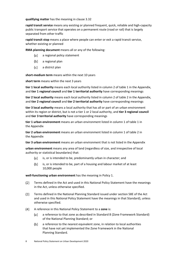**qualifying matter** has the meaning in clause 3.32

**rapid transit service** means any existing or planned frequent, quick, reliable and high-capacity public transport service that operates on a permanent route (road or rail) that is largely separated from other traffic

**rapid transit stop** means a place where people can enter or exit a rapid transit service, whether existing or planned

**RMA planning document** means all or any of the following:

- (a) a regional policy statement
- (b) a regional plan
- a district plan (c)

**short-medium term** means within the next 10 years

**short term** means within the next 3 years

**tier 1 local authority** means each local authority listed in column 2 of table 1 in the Appendix, and **tier 1 regional council** and **tier 1 territorial authority** have corresponding meanings

**tier 2 local authority** means each local authority listed in column 2 of table 2 in the Appendix, and **tier 2 regional council** and **tier 2 territorial authority** have corresponding meanings

**tier 3 local authority** means a local authority that has all or part of an urban environment within its region or district, but is not a tier 1 or 2 local authority, and **tier 3 regional council** and **tier 3 territorial authority** have corresponding meanings

**tier 1 urban environment** means an urban environment listed in column 1 of table 1 in the Appendix

**tier 2 urban environment** means an urban environment listed in column 1 of table 2 in the Appendix

**tier 3 urban environment** means an urban environment that is not listed in the Appendix

**urban environment** means any area of land (regardless of size, and irrespective of local authority or statistical boundaries) that:

- $(a)$ is, or is intended to be, predominantly urban in character; and
- $(b)$ is, or is intended to be, part of a housing and labour market of at least 10,000 people

**well-functioning urban environment** has the meaning in Policy 1.

- $(2)$ Terms defined in the Act and used in this National Policy Statement have the meanings in the Act, unless otherwise specified.
- $(3)$ Terms defined in the National Planning Standard issued under section 58E of the Act and used in this National Policy Statement have the meanings in that Standard), unless otherwise specified.
- $(4)$ A reference in this National Policy Statement to a **zone** is:
	- (a) a reference to that zone as described in Standard 8 (Zone Framework Standard) of the National Planning Standard; or
	- $(b)$ a reference to the nearest equivalent zone, in relation to local authorities that have not yet implemented the Zone Framework in the National Planning Standard.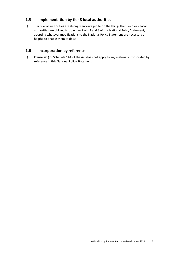#### <span id="page-8-0"></span>**1.5 Implementation by tier 3 local authorities**

 $(1)$ Tier 3 local authorities are strongly encouraged to do the things that tier 1 or 2 local authorities are obliged to do under Parts 2 and 3 of this National Policy Statement, adopting whatever modifications to the National Policy Statement are necessary or helpful to enable them to do so.

#### <span id="page-8-1"></span>**1.6 Incorporation by reference**

 $(1)$ Clause 2(1) of Schedule 1AA of the Act does not apply to any material incorporated by reference in this National Policy Statement.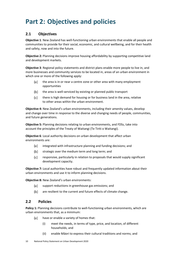## <span id="page-9-0"></span>**Part 2: Objectives and policies**

#### <span id="page-9-1"></span>**2.1 Objectives**

**Objective 1**: New Zealand has well-functioning urban environments that enable all people and communities to provide for their social, economic, and cultural wellbeing, and for their health and safety, now and into the future.

**Objective 2:** Planning decisions improve housing affordability by supporting competitive land and development markets.

**Objective 3**: Regional policy statements and district plans enable more people to live in, and more businesses and community services to be located in, areas of an urban environment in which one or more of the following apply:

- $(a)$ the area is in or near a centre zone or other area with many employment opportunities
- $(b)$ the area is well-serviced by existing or planned public transport
- $(c)$ there is high demand for housing or for business land in the area, relative to other areas within the urban environment.

**Objective 4:** New Zealand's urban environments, including their amenity values, develop and change over time in response to the diverse and changing needs of people, communities, and future generations.

**Objective 5:** Planning decisions relating to urban environments, and FDSs, take into account the principles of the Treaty of Waitangi (Te Tiriti o Waitangi).

**Objective 6**: Local authority decisions on urban development that affect urban environments are:

- $(a)$ integrated with infrastructure planning and funding decisions; and
- $(b)$ strategic over the medium term and long term; and
- responsive, particularly in relation to proposals that would supply significant  $(c)$ development capacity.

**Objective 7:** Local authorities have robust and frequently updated information about their urban environments and use it to inform planning decisions.

**Objective 8:** New Zealand's urban environments:

- (a) support reductions in greenhouse gas emissions; and
- are resilient to the current and future effects of climate change.  $(b)$

#### <span id="page-9-2"></span>**2.2 Policies**

**Policy 1:** Planning decisions contribute to well-functioning urban environments, which are urban environments that, as a minimum:

- $(a)$ have or enable a variety of homes that:
	- (i) meet the needs, in terms of type, price, and location, of different households; and
	- (ii) enable Māori to express their cultural traditions and norms; and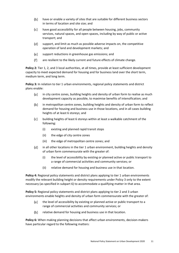- $(b)$ have or enable a variety of sites that are suitable for different business sectors in terms of location and site size; and
- $(c)$ have good accessibility for all people between housing, jobs, community services, natural spaces, and open spaces, including by way of public or active transport; and
- $(d)$ support, and limit as much as possible adverse impacts on, the competitive operation of land and development markets; and
- (e) support reductions in greenhouse gas emissions; and
- $(f)$ are resilient to the likely current and future effects of climate change.

Policy 2: Tier 1, 2, and 3 local authorities, at all times, provide at least sufficient development capacity to meet expected demand for housing and for business land over the short term, medium term, and long term.

**Policy 3:** In relation to tier 1 urban environments, regional policy statements and district plans enable:

- in city centre zones, building heights and density of urban form to realise as much (a) development capacity as possible, to maximise benefits of intensification; and
- $(b)$ in metropolitan centre zones, building heights and density of urban form to reflect demand for housing and business use in those locations, and in all cases building heights of at least 6 storeys; and
- $(c)$ building heights of least 6 storeys within at least a walkable catchment of the following:
	- (i) existing and planned rapid transit stops
	- (ii) the edge of city centre zones
	- (iii) the edge of metropolitan centre zones; and
- $(d)$ in all other locations in the tier 1 urban environment, building heights and density of urban form commensurate with the greater of:
	- (i) the level of accessibility by existing or planned active or public transport to a range of commercial activities and community services; or
	- (ii) relative demand for housing and business use in that location.

**Policy 4:** Regional policy statements and district plans applying to tier 1 urban environments modify the relevant building height or density requirements under Policy 3 only to the extent necessary (as specified in subpart 6) to accommodate a qualifying matter in that area.

**Policy 5:** Regional policy statements and district plans applying to tier 2 and 3 urban environments enable heights and density of urban form commensurate with the greater of:

- $(a)$ the level of accessibility by existing or planned active or public transport to a range of commercial activities and community services; or
- $(b)$ relative demand for housing and business use in that location.

**Policy 6:** When making planning decisions that affect urban environments, decision-makers have particular regard to the following matters: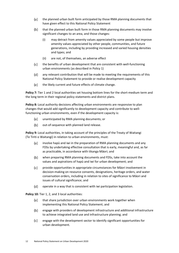- $(a)$ the planned urban built form anticipated by those RMA planning documents that have given effect to this National Policy Statement
- $(b)$ that the planned urban built form in those RMA planning documents may involve significant changes to an area, and those changes:
	- (i) may detract from amenity values appreciated by some people but improve amenity values appreciated by other people, communities, and future generations, including by providing increased and varied housing densities and types; and
	- (ii) are not, of themselves, an adverse effect
- $(c)$ the benefits of urban development that are consistent with well-functioning urban environments (as described in Policy 1)
- $(d)$ any relevant contribution that will be made to meeting the requirements of this National Policy Statement to provide or realise development capacity
- (e) the likely current and future effects of climate change.

**Policy 7:** Tier 1 and 2 local authorities set housing bottom lines for the short-medium term and the long term in their regional policy statements and district plans.

**Policy 8:** Local authority decisions affecting urban environments are responsive to plan changes that would add significantly to development capacity and contribute to wellfunctioning urban environments, even if the development capacity is:

- $(a)$ unanticipated by RMA planning documents; or
- $(b)$ out-of-sequence with planned land release.

**Policy 9:** Local authorities, in taking account of the principles of the Treaty of Waitangi (Te Tiriti o Waitangi) in relation to urban environments, must:

- involve hapū and iwi in the preparation of RMA planning documents and any (a) FDSs by undertaking effective consultation that is early, meaningful and, as far as practicable, in accordance with tikanga Māori; and
- $(b)$ when preparing RMA planning documents and FDSs, take into account the values and aspirations of hapū and iwi for urban development; and
- $(c)$ provide opportunities in appropriate circumstances for Māori involvement in decision-making on resource consents, designations, heritage orders, and water conservation orders, including in relation to sites of significance to Māori and issues of cultural significance; and
- $(d)$ operate in a way that is consistent with iwi participation legislation.

Policy 10: Tier 1, 2, and 3 local authorities:

- that share jurisdiction over urban environments work together when (a) implementing this National Policy Statement; and
- engage with providers of development infrastructure and additional infrastructure  $(b)$ to achieve integrated land use and infrastructure planning; and
- (c) engage with the development sector to identify significant opportunities for urban development.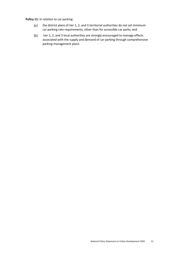**Policy 11:** In relation to car parking:

- $(a)$ the district plans of tier 1, 2, and 3 territorial authorities do not set minimum car parking rate requirements, other than for accessible car parks; and
- $(b)$ tier 1, 2, and 3 local authorities are strongly encouraged to manage effects associated with the supply and demand of car parking through comprehensive parking management plans.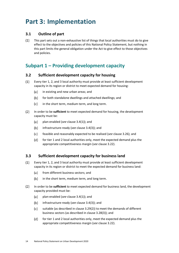## <span id="page-13-0"></span>**Part 3: Implementation**

#### <span id="page-13-1"></span>**3.1 Outline of part**

 $(1)$ This part sets out a non-exhaustive list of things that local authorities must do to give effect to the objectives and policies of this National Policy Statement, but nothing in this part limits the general obligation under the Act to give effect to those objectives and policies.

### <span id="page-13-2"></span>**Subpart 1 – Providing development capacity**

#### <span id="page-13-3"></span>**3.2 Sufficient development capacity for housing**

- $(1)$ Every tier 1, 2, and 3 local authority must provide at least sufficient development capacity in its region or district to meet expected demand for housing:
	- $(a)$ in existing and new urban areas; and
	- $(b)$ for both standalone dwellings and attached dwellings; and
	- $(c)$ in the short term, medium term, and long term.
- $(2)$ In order to be **sufficient** to meet expected demand for housing, the development capacity must be:
	- $(a)$ plan-enabled (*see* clause 3.4(1)); and
	- infrastructure-ready (*see* clause 3.4(3)); and  $(b)$
	- $(c)$ feasible and reasonably expected to be realised (*see* clause 3.26); and
	- $(d)$ for tier 1 and 2 local authorities only, meet the expected demand plus the appropriate competitiveness margin (*see* clause 3.22).

#### <span id="page-13-4"></span>**3.3 Sufficient development capacity for business land**

- $(1)$ Every tier 1, 2, and 3 local authority must provide at least sufficient development capacity in its region or district to meet the expected demand for business land:
	- $(a)$ from different business sectors; and
	- $(b)$ in the short term, medium term, and long term.
- $(2)$ In order to be **sufficient** to meet expected demand for business land, the development capacity provided must be:
	- $(a)$ plan-enabled (*see* clause 3.4(1)); and
	- $(b)$ infrastructure-ready (*see* clause 3.4(3)); and
	- $(c)$ suitable (as described in clause 3.29(2)) to meet the demands of different business sectors (as described in clause 3.28(3)); and
	- (d) for tier 1 and 2 local authorities only, meet the expected demand plus the appropriate competitiveness margin (*see* clause 3.22).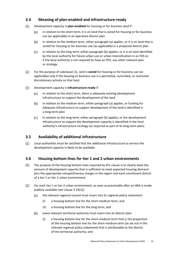#### <span id="page-14-0"></span>**3.4 Meaning of plan-enabled and infrastructure-ready**

- $(1)$ Development capacity is **plan-enabled** for housing or for business land if:
	- in relation to the short term, it is on land that is zoned for housing or for business  $(a)$ use (as applicable) in an operative district plan
	- $(b)$ in relation to the medium term, either paragraph (a) applies, or it is on land that is zoned for housing or for business use (as applicable) in a proposed district plan
	- $(c)$ in relation to the long term, either paragraph (b) applies, or it is on land identified by the local authority for future urban use or urban intensification in an FDS or, if the local authority is not required to have an FDS, any other relevant plan or strategy.
- $(2)$ For the purpose of subclause (1), land is **zoned** for housing or for business use (as applicable) only if the housing or business use is a permitted, controlled, or restricted discretionary activity on that land.
- $(3)$ Development capacity is **infrastructure-ready** if:
	- in relation to the short term, there is adequate existing development (a) infrastructure to support the development of the land
	- $(b)$ in relation to the medium term, either paragraph (a) applies, or funding for adequate infrastructure to support development of the land is identified in a long-term plan
	- $(c)$ in relation to the long term, either paragraph (b) applies, or the development infrastructure to support the development capacity is identified in the local authority's infrastructure strategy (as required as part of its long-term plan).

#### <span id="page-14-1"></span>**3.5 Availability of additional infrastructure**

 $(1)$ Local authorities must be satisfied that the additional infrastructure to service the development capacity is likely to be available.

#### <span id="page-14-2"></span>**3.6 Housing bottom lines for tier 1 and 2 urban environments**

- $(1)$ The purpose of the housing bottom lines required by this clause is to clearly state the amount of development capacity that is sufficient to meet expected housing demand plus the appropriate competitiveness margin in the region and each constituent district of a tier 1 or tier 2 urban environment.
- $(2)$ For each tier 1 or tier 2 urban environment, as soon as practicable after an HBA is made publicly available (*see* clause 3.19(1)):
	- $(a)$ the relevant regional council must insert into its regional policy statement:
		- (i) a housing bottom line for the short-medium term; and
		- (ii) a housing bottom line for the long term; and
	- $(b)$ every relevant territorial authority must insert into its district plan:
		- (i) a housing bottom line for the short-medium term that is the proportion of the housing bottom line for the short-medium term (as set out in the relevant regional policy statement) that is attributable to the district of the territorial authority; and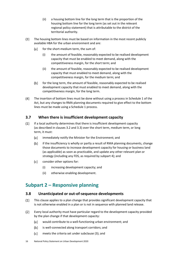- (ii) a housing bottom line for the long term that is the proportion of the housing bottom line for the long term (as set out in the relevant regional policy statement) that is attributable to the district of the territorial authority.
- $(3)$ The housing bottom lines must be based on information in the most recent publicly available HBA for the urban environment and are:
	- for the short-medium term, the sum of:  $(a)$ 
		- (i) the amount of feasible, reasonably expected to be realised development capacity that must be enabled to meet demand, along with the competitiveness margin, for the short term; and
		- (ii) the amount of feasible, reasonably expected to be realised development capacity that must enabled to meet demand, along with the competitiveness margin, for the medium term; and
	- $(b)$ for the long term, the amount of feasible, reasonably expected to be realised development capacity that must enabled to meet demand, along with the competitiveness margin, for the long term.
- $(4)$ The insertion of bottom lines must be done without using a process in Schedule 1 of the Act, but any changes to RMA planning documents required to give effect to the bottom lines must be made using a Schedule 1 process.

#### <span id="page-15-0"></span>**3.7 When there is insufficient development capacity**

- $(1)$ If a local authority determines that there is insufficient development capacity (as described in clauses 3.2 and 3.3) over the short term, medium term, or long term, it must:
	- (a) immediately notify the Minister for the Environment; and
	- $(b)$ if the insufficiency is wholly or partly a result of RMA planning documents, change those documents to increase development capacity for housing or business land (as applicable) as soon as practicable, and update any other relevant plan or strategy (including any FDS, as required by subpart 4); and
	- $(c)$ consider other options for:
		- (i) increasing development capacity; and
		- (ii) otherwise enabling development.

### <span id="page-15-1"></span>**Subpart 2 – Responsive planning**

#### <span id="page-15-2"></span>**3.8 Unanticipated or out-of-sequence developments**

- $(1)$ This clause applies to a plan change that provides significant development capacity that is not otherwise enabled in a plan or is not in sequence with planned land release.
- $(2)$ Every local authority must have particular regard to the development capacity provided by the plan change if that development capacity:
	- $(a)$ would contribute to a well-functioning urban environment; and
	- $(b)$ is well-connected along transport corridors; and
	- (c) meets the criteria set under subclause (3); and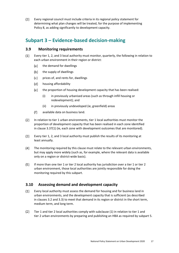$(3)$ Every regional council must include criteria in its regional policy statement for determining what plan changes will be treated, for the purpose of implementing Policy 8, as adding significantly to development capacity.

### <span id="page-16-0"></span>**Subpart 3 – Evidence-based decision-making**

#### <span id="page-16-1"></span>**3.9 Monitoring requirements**

- $(1)$ Every tier 1, 2, and 3 local authority must monitor, quarterly, the following in relation to each urban environment in their region or district:
	- the demand for dwellings  $(a)$
	- $(b)$ the supply of dwellings
	- prices of, and rents for, dwellings  $(c)$
	- $(d)$ housing affordability
	- $(e)$ the proportion of housing development capacity that has been realised:
		- (i) in previously urbanised areas (such as through infill housing or redevelopment); and
		- (ii) in previously undeveloped (ie, greenfield) areas
	- $(f)$ available data on business land.
- $(2)$ In relation to tier 1 urban environments, tier 1 local authorities must monitor the proportion of development capacity that has been realised in each zone identified in clause 3.37(1) (ie, each zone with development outcomes that are monitored).
- $(3)$ Every tier 1, 2, and 3 local authority must publish the results of its monitoring at least annually.
- $(4)$ The monitoring required by this clause must relate to the relevant urban environments, but may apply more widely (such as, for example, where the relevant data is available only on a region or district-wide basis).
- $(5)$ If more than one tier 1 or tier 2 local authority has jurisdiction over a tier 1 or tier 2 urban environment, those local authorities are jointly responsible for doing the monitoring required by this subpart.

#### <span id="page-16-2"></span>**3.10 Assessing demand and development capacity**

- $(1)$ Every local authority must assess the demand for housing and for business land in urban environments, and the development capacity that is sufficient (as described in clauses 3.2 and 3.3) to meet that demand in its region or district in the short term, medium term, and long term.
- $(2)$ Tier 1 and tier 2 local authorities comply with subclause (1) in relation to tier 1 and tier 2 urban environments by preparing and publishing an HBA as required by subpart 5.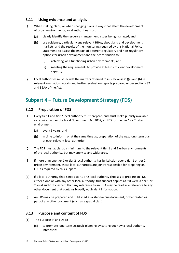#### <span id="page-17-0"></span>**3.11 Using evidence and analysis**

- $(1)$ When making plans, or when changing plans in ways that affect the development of urban environments, local authorities must:
	- clearly identify the resource management issues being managed; and  $(a)$
	- $(b)$ use evidence, particularly any relevant HBAs, about land and development markets, and the results of the monitoring required by this National Policy Statement, to assess the impact of different regulatory and non-regulatory options for urban development and their contribution to:
		- (i) achieving well-functioning urban environments; and
		- (ii) meeting the requirements to provide at least sufficient development capacity.
- $(2)$ Local authorities must include the matters referred to in subclause (1)(a) and (b) in relevant evaluation reports and further evaluation reports prepared under sections 32 and 32AA of the Act.

### <span id="page-17-1"></span>**Subpart 4 – Future Development Strategy (FDS)**

#### <span id="page-17-2"></span>**3.12 Preparation of FDS**

- $(1)$ Every tier 1 and tier 2 local authority must prepare, and must make publicly available as required under the Local Government Act 2002, an FDS for the tier 1 or 2 urban environment:
	- (a) every 6 years; and
	- $(b)$ in time to inform, or at the same time as, preparation of the next long-term plan of each relevant local authority.
- $(2)$ The FDS must apply, at a minimum, to the relevant tier 1 and 2 urban environments of the local authority, but may apply to any wider area.
- $(3)$ If more than one tier 1 or tier 2 local authority has jurisdiction over a tier 1 or tier 2 urban environment, those local authorities are jointly responsible for preparing an FDS as required by this subpart.
- $(4)$ If a local authority that is not a tier 1 or 2 local authority chooses to prepare an FDS, either alone or with any other local authority, this subpart applies as if it were a tier 1 or 2 local authority, except that any reference to an HBA may be read as a reference to any other document that contains broadly equivalent information.
- $(5)$ An FDS may be prepared and published as a stand-alone document, or be treated as part of any other document (such as a spatial plan).

#### <span id="page-17-3"></span>**3.13 Purpose and content of FDS**

- $(1)$ The purpose of an FDS is:
	- (a) to promote long-term strategic planning by setting out how a local authority intends to: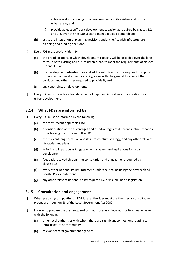- (i) achieve well-functioning urban environments in its existing and future urban areas; and
- (ii) provide at least sufficient development capacity, as required by clauses 3.2 and 3.3, over the next 30 years to meet expected demand; and
- assist the integration of planning decisions under the Act with infrastructure  $(b)$ planning and funding decisions.
- $(2)$ Every FDS must spatially identify:
	- (a) the broad locations in which development capacity will be provided over the long term, in both existing and future urban areas, to meet the requirements of clauses 3.2 and 3.3; and
	- $(b)$ the development infrastructure and additional infrastructure required to support or service that development capacity, along with the general location of the corridors and other sites required to provide it; and
	- (c) any constraints on development.
- $(3)$ Every FDS must include a clear statement of hapū and iwi values and aspirations for urban development.

#### <span id="page-18-0"></span>**3.14 What FDSs are informed by**

- $(1)$ Every FDS must be informed by the following:
	- (a) the most recent applicable HBA
	- $(b)$ a consideration of the advantages and disadvantages of different spatial scenarios for achieving the purpose of the FDS
	- $(c)$ the relevant long-term plan and its infrastructure strategy, and any other relevant strategies and plans
	- $(d)$ Māori, and in particular tangata whenua, values and aspirations for urban development
	- $(e)$ feedback received through the consultation and engagement required by clause 3.15
	- $(f)$ every other National Policy Statement under the Act, including the New Zealand Coastal Policy Statement
	- $(g)$ any other relevant national policy required by, or issued under, legislation.

#### <span id="page-18-1"></span>**3.15 Consultation and engagement**

- $(1)$ When preparing or updating an FDS local authorities must use the special consultative procedure in section 83 of the Local Government Act 2002.
- $(2)$ In order to prepare the draft required by that procedure, local authorities must engage with the following:
	- $(a)$ other local authorities with whom there are significant connections relating to infrastructure or community
	- $(b)$ relevant central government agencies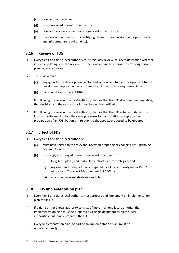- (c) relevant hapū and iwi
- $(d)$ providers of additional infrastructure
- (e) relevant providers of nationally significant infrastructure
- $(f)$ the development sector (to identify significant future development opportunities and infrastructure requirements).

#### <span id="page-19-0"></span>**3.16 Review of FDS**

- $(1)$ Every tier 1 and tier 2 local authority must regularly review its FDS to determine whether it needs updating, and the review must be done in time to inform the next long-term plan (ie, every 3 years).
- $(2)$ The review must:
	- $(a)$ engage with the development sector and landowners to identify significant future development opportunities and associated infrastructure requirements; and
	- $(b)$ consider the most recent HBA.
- If, following the review, the local authority decides that the FDS does not need updating,  $(3)$ that decision and the reasons for it must be publicly notified.
- $(4)$ If, following the review, the local authority decides that the FDS is to be updated, the local authority must follow the same processes for consultation as apply to the preparation of an FDS, but only in relation to the aspects proposed to be updated.

#### <span id="page-19-1"></span>**3.17 Effect of FDS**

- $(1)$ Every tier 1 and tier 2 local authority:
	- (a) must have regard to the relevant FDS when preparing or changing RMA planning documents; and
	- $(b)$ is strongly encouraged to use the relevant FDS to inform:
		- (i) long-term plans, and particularly infrastructure strategies; and
		- (ii) regional land transport plans prepared by a local authority under Part 2 of the Land Transport Management Act 2003; and
		- (iii) any other relevant strategies and plans.

#### <span id="page-19-2"></span>**3.18 FDS implementation plan**

- Every tier 1 and tier 2 local authority must prepare and implement an implementation  $(1)$ plan for its FDS.
- $(2)$ If a tier 1 or tier 2 local authority consists of more than one local authority, the implementation plan must be prepared as a single document by all the local authorities that jointly prepared the FDS.
- $(3)$ Every implementation plan, or part of an implementation plan, must be updated annually.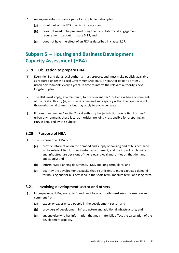- $(4)$ An implementation plan or part of an implementation plan:
	- $(a)$ is not part of the FDS to which it relates; and
	- $(b)$ does not need to be prepared using the consultation and engagement requirements set out in clause 3.15; and
	- $(c)$ does not have the effect of an FDS as described in clause 3.17.

## <span id="page-20-0"></span>**Subpart 5 – Housing and Business Development Capacity Assessment (HBA)**

#### <span id="page-20-1"></span>**3.19 Obligation to prepare HBA**

- $(1)$ Every tier 1 and tier 2 local authority must prepare, and must make publicly available as required under the Local Government Act 2002, an HBA for its tier 1 or tier 2 urban environments every 3 years, in time to inform the relevant authority's next long-term plan.
- $(2)$ The HBA must apply, at a minimum, to the relevant tier 1 or tier 2 urban environments of the local authority (ie, must assess demand and capacity within the boundaries of those urban environments), but may apply to any wider area.
- $(3)$ If more than one tier 1 or tier 2 local authority has jurisdiction over a tier 1 or tier 2 urban environment, those local authorities are jointly responsible for preparing an HBA as required by this subpart.

#### <span id="page-20-2"></span>**3.20 Purpose of HBA**

- $(1)$ The purpose of an HBA is to:
	- provide information on the demand and supply of housing and of business land  $(a)$ in the relevant tier 1 or tier 2 urban environment, and the impact of planning and infrastructure decisions of the relevant local authorities on that demand and supply; and
	- $(b)$ inform RMA planning documents, FDSs, and long-term plans; and
	- $(c)$ quantify the development capacity that is sufficient to meet expected demand for housing and for business land in the short term, medium term, and long term.

#### <span id="page-20-3"></span>**3.21 Involving development sector and others**

- $(1)$ In preparing an HBA, every tier 1 and tier 2 local authority must seek information and comment from:
	- expert or experienced people in the development sector; and (a)
	- $(b)$ providers of development infrastructure and additional infrastructure; and
	- $(c)$ anyone else who has information that may materially affect the calculation of the development capacity.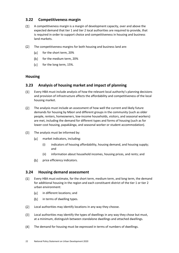#### <span id="page-21-0"></span>**3.22 Competitiveness margin**

- $(1)$ A competitiveness margin is a margin of development capacity, over and above the expected demand that tier 1 and tier 2 local authorities are required to provide, that is required in order to support choice and competitiveness in housing and business land markets.
- $(2)$ The competitiveness margins for both housing and business land are:
	- for the short term, 20% (a)
	- for the medium term, 20%  $(b)$
	- (c) for the long term, 15%.

#### **Housing**

#### <span id="page-21-1"></span>**3.23 Analysis of housing market and impact of planning**

- $(1)$ Every HBA must include analysis of how the relevant local authority's planning decisions and provision of infrastructure affects the affordability and competitiveness of the local housing market.
- $(2)$ The analysis must include an assessment of how well the current and likely future demands for housing by Māori and different groups in the community (such as older people, renters, homeowners, low-income households, visitors, and seasonal workers) are met, including the demand for different types and forms of housing (such as for lower-cost housing, papakāinga, and seasonal worker or student accommodation).
- $(3)$ The analysis must be informed by:
	- (a) market indicators, including:
		- (i) indicators of housing affordability, housing demand, and housing supply; and
		- (ii) information about household incomes, housing prices, and rents; and
	- $(b)$ price efficiency indicators.

#### <span id="page-21-2"></span>**3.24 Housing demand assessment**

- $(1)$ Every HBA must estimate, for the short term, medium term, and long term, the demand for additional housing in the region and each constituent district of the tier 1 or tier 2 urban environment:
	- $(a)$ in different locations; and
	- in terms of dwelling types.  $(b)$
- $(2)$ Local authorities may identify locations in any way they choose.
- Local authorities may identify the types of dwellings in any way they chose but must,  $(3)$ at a minimum, distinguish between standalone dwellings and attached dwellings.
- $(4)$ The demand for housing must be expressed in terms of numbers of dwellings.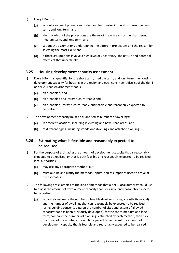- $(5)$ Every HBA must:
	- set out a range of projections of demand for housing in the short term, medium  $(a)$ term, and long term; and
	- identify which of the projections are the most likely in each of the short term,  $(b)$ medium term, and long term; and
	- $(c)$ set out the assumptions underpinning the different projections and the reason for selecting the most likely; and
	- $(d)$ if those assumptions involve a high level of uncertainty, the nature and potential effects of that uncertainty.

#### <span id="page-22-0"></span>**3.25 Housing development capacity assessment**

- $(1)$ Every HBA must quantify, for the short term, medium term, and long term, the housing development capacity for housing in the region and each constituent district of the tier 1 or tier 2 urban environment that is:
	- $(a)$ plan-enabled; and
	- $(b)$ plan-enabled and infrastructure-ready; and
	- $(c)$ plan-enabled, infrastructure-ready, and feasible and reasonably expected to be realised.
- $(2)$ The development capacity must be quantified as numbers of dwellings:
	- $(a)$ in different locations, including in existing and new urban areas; and
	- $(b)$ of different types, including standalone dwellings and attached dwellings.

#### <span id="page-22-1"></span>**3.26 Estimating what is feasible and reasonably expected to be realised**

- $(1)$ For the purpose of estimating the amount of development capacity that is reasonably expected to be realised, or that is both feasible and reasonably expected to be realised, local authorities:
	- $(a)$ may use any appropriate method; but
	- $(b)$ must outline and justify the methods, inputs, and assumptions used to arrive at the estimates.
- The following are examples of the kind of methods that a tier 1 local authority could use  $(2)$ to assess the amount of development capacity that is feasible and reasonably expected to be realised:
	- $(a)$ separately estimate the number of feasible dwellings (using a feasibility model) and the number of dwellings that can reasonably be expected to be realised (using building consents data on the number of sites and extent of allowed capacity that has been previously developed), for the short, medium and long term; compare the numbers of dwellings estimated by each method; then pick the lower of the numbers in each time period, to represent the amount of development capacity that is feasible and reasonably expected to be realised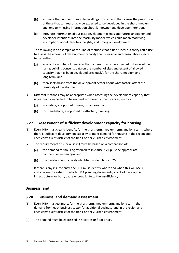- $(b)$ estimate the number of feasible dwellings or sites, and then assess the proportion of these that can reasonably be expected to be developed in the short, medium and long term, using information about landowner and developer intentions
- $(c)$ integrate information about past development trends and future landowner and developer intentions into the feasibility model, which could mean modifying assumptions about densities, heights, and timing of development.
- $(3)$ The following is an example of the kind of methods that a tier 2 local authority could use to assess the amount of development capacity that is feasible and reasonably expected to be realised:
	- assess the number of dwellings that can reasonably be expected to be developed  $(a)$ (using building consents data on the number of sites and extent of allowed capacity that has been developed previously), for the short, medium and long term; and
	- $(b)$ then seek advice from the development sector about what factors affect the feasibility of development.
- $(4)$ Different methods may be appropriate when assessing the development capacity that is reasonably expected to be realised in different circumstances, such as:
	- $(a)$ in existing, as opposed to new, urban areas; and
	- $(b)$ for stand-alone, as opposed to attached, dwellings.

#### <span id="page-23-0"></span>**3.27 Assessment of sufficient development capacity for housing**

- $(1)$ Every HBA must clearly identify, for the short term, medium term, and long term, where there is sufficient development capacity to meet demand for housing in the region and each constituent district of the tier 1 or tier 2 urban environment.
- $(2)$ The requirements of subclause (1) must be based on a comparison of:
	- (a) the demand for housing referred to in clause 3.24 plus the appropriate competitiveness margin; and
	- $(b)$ the development capacity identified under clause 3.25.
- $(3)$ If there is any insufficiency, the HBA must identify where and when this will occur and analyse the extent to which RMA planning documents, a lack of development infrastructure, or both, cause or contribute to the insufficiency.

#### <span id="page-23-1"></span>**Business land**

#### **3.28 Business land demand assessment**

- Every HBA must estimate, for the short term, medium term, and long term, the  $(1)$ demand from each business sector for additional business land in the region and each constituent district of the tier 1 or tier 2 urban environment.
- The demand must be expressed in hectares or floor areas. $(2)$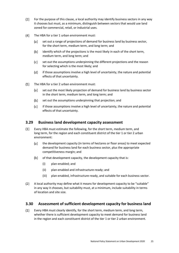- $(3)$ For the purpose of this clause, a local authority may identify business sectors in any way it chooses but must, as a minimum, distinguish between sectors that would use land zoned for commercial, retail, or industrial uses.
- $(4)$ The HBA for a tier 1 urban environment must:
	- $(a)$ set out a range of projections of demand for business land by business sector, for the short term, medium term, and long term; and
	- $(b)$ identify which of the projections is the most likely in each of the short term, medium term, and long term; and
	- (c) set out the assumptions underpinning the different projections and the reason for selecting which is the most likely; and
	- (d) if those assumptions involve a high level of uncertainty, the nature and potential effects of that uncertainty.
- The HBA for a tier 2 urban environment must:  $(5)$ 
	- set out the most likely projection of demand for business land by business sector (a) in the short term, medium term, and long term; and
	- $(b)$ set out the assumptions underpinning that projection; and
	- $(c)$ if those assumptions involve a high level of uncertainty, the nature and potential effects of that uncertainty.

#### <span id="page-24-0"></span>**3.29 Business land development capacity assessment**

- $(1)$ Every HBA must estimate the following, for the short term, medium term, and long term, for the region and each constituent district of the tier 1 or tier 2 urban environment:
	- $(a)$ the development capacity (in terms of hectares or floor areas) to meet expected demand for business land for each business sector, plus the appropriate competitiveness margin; and
	- of that development capacity, the development capacity that is:  $(b)$ 
		- (i) plan-enabled; and
		- (ii) plan-enabled and infrastructure-ready; and
		- (iii) plan-enabled, infrastructure-ready, and suitable for each business sector.
- $(2)$ A local authority may define what it means for development capacity to be "suitable" in any way it chooses, but suitability must, at a minimum, include suitability in terms of location and site size.

#### <span id="page-24-1"></span>**3.30 Assessment of sufficient development capacity for business land**

 $(1)$ Every HBA must clearly identify, for the short term, medium term, and long term, whether there is sufficient development capacity to meet demand for business land in the region and each constituent district of the tier 1 or tier 2 urban environment.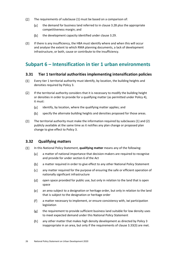- $(2)$ The requirements of subclause (1) must be based on a comparison of:
	- $(a)$ the demand for business land referred to in clause 3.28 plus the appropriate competitiveness margin; and
	- $(b)$ the development capacity identified under clause 3.29.
- $(3)$ If there is any insufficiency, the HBA must identify where and when this will occur and analyse the extent to which RMA planning documents, a lack of development infrastructure, or both, cause or contribute to the insufficiency.

### <span id="page-25-0"></span>**Subpart 6 – Intensification in tier 1 urban environments**

#### <span id="page-25-1"></span>**3.31 Tier 1 territorial authorities implementing intensification policies**

- $(1)$ Every tier 1 territorial authority must identify, by location, the building heights and densities required by Policy 3.
- $(2)$ If the territorial authority considers that it is necessary to modify the building height or densities in order to provide for a qualifying matter (as permitted under Policy 4), it must:
	- $(a)$ identify, by location, where the qualifying matter applies; and
	- $(b)$ specify the alternate building heights and densities proposed for those areas.
- $(3)$ The territorial authority must make the information required by subclauses (1) and (2) publicly available at the same time as it notifies any plan change or proposed plan change to give effect to Policy 3.

#### <span id="page-25-2"></span>**3.32 Qualifying matters**

- $(1)$ In this National Policy Statement, **qualifying matter** means any of the following:
	- $(a)$ a matter of national importance that decision-makers are required to recognise and provide for under section 6 of the Act
	- $(b)$ a matter required in order to give effect to any other National Policy Statement
	- any matter required for the purpose of ensuring the safe or efficient operation of  $(c)$ nationally significant infrastructure
	- (d) open space provided for public use, but only in relation to the land that is open space
	- (e) an area subject to a designation or heritage order, but only in relation to the land that is subject to the designation or heritage order
	- $(f)$ a matter necessary to implement, or ensure consistency with, iwi participation legislation
	- the requirement to provide sufficient business land suitable for low density uses  $(g)$ to meet expected demand under this National Policy Statement
	- $(h)$ any other matter that makes high density development as directed by Policy 3 inappropriate in an area, but only if the requirements of clause 3.33(3) are met.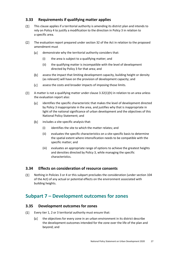#### <span id="page-26-0"></span>**3.33 Requirements if qualifying matter applies**

- $(1)$ This clause applies if a territorial authority is amending its district plan and intends to rely on Policy 4 to justify a modification to the direction in Policy 3 in relation to a specific area.
- $(2)$ The evaluation report prepared under section 32 of the Act in relation to the proposed amendment must
	- $(a)$ demonstrate why the territorial authority considers that:
		- (i) the area is subject to a qualifying matter; and
		- (ii) the qualifying matter is incompatible with the level of development directed by Policy 3 for that area; and
	- assess the impact that limiting development capacity, building height or density  $(b)$ (as relevant) will have on the provision of development capacity; and
	- $(c)$ assess the costs and broader impacts of imposing those limits.
- $(3)$ A matter is not a qualifying matter under clause  $3.32(1)(h)$  in relation to an area unless the evaluation report also:
	- $(a)$ identifies the specific characteristic that makes the level of development directed by Policy 3 inappropriate in the area, and justifies why that is inappropriate in light of the national significance of urban development and the objectives of this National Policy Statement; and
	- $(b)$ includes a site-specific analysis that:
		- (i) identifies the site to which the matter relates; and
		- (ii) evaluates the specific characteristics on a site-specific basis to determine the spatial extent where intensification needs to be compatible with the specific matter; and
		- (iii) evaluates an appropriate range of options to achieve the greatest heights and densities directed by Policy 3, while managing the specific characteristics.

#### <span id="page-26-1"></span>**3.34 Effects on consideration of resource consents**

 $(1)$ Nothing in Policies 3 or 4 or this subpart precludes the consideration (under section 104 of the Act) of any actual or potential effects on the environment associated with building heights.

### <span id="page-26-2"></span>**Subpart 7 – Development outcomes for zones**

#### <span id="page-26-3"></span>**3.35 Development outcomes for zones**

- $(1)$ Every tier 1, 2 or 3 territorial authority must ensure that:
	- $(a)$ the objectives for every zone in an urban environment in its district describe the development outcomes intended for the zone over the life of the plan and beyond; and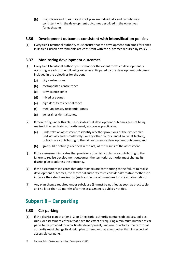$(b)$ the policies and rules in its district plan are individually and cumulatively consistent with the development outcomes described in the objectives for each zone.

#### <span id="page-27-0"></span>**3.36 Development outcomes consistent with intensification policies**

 $(1)$ Every tier 1 territorial authority must ensure that the development outcomes for zones in its tier 1 urban environments are consistent with the outcomes required by Policy 3.

#### <span id="page-27-1"></span>**3.37 Monitoring development outcomes**

- $(1)$ Every tier 1 territorial authority must monitor the extent to which development is occurring in each of the following zones as anticipated by the development outcomes included in the objectives for the zone:
	- (a) city centre zones
	- $(b)$ metropolitan centre zones
	- (c) town centre zones
	- $(d)$ mixed use zones
	- (e) high density residential zones
	- medium density residential zones  $(f)$
	- $(g)$ general residential zones.
- $(2)$ If monitoring under this clause indicates that development outcomes are not being realised, the territorial authority must, as soon as practicable:
	- undertake an assessment to identify whether provisions of the district plan (a) (individually and cumulatively), or any other factors (and if so, what factors), or both, are contributing to the failure to realise development outcomes; and
	- $(b)$ give public notice (as defined in the Act) of the results of the assessment.
- $(3)$ If the assessment indicates that provisions of a district plan are contributing to the failure to realise development outcomes, the territorial authority must change its district plan to address the deficiency.
- $(4)$ If the assessment indicates that other factors are contributing to the failure to realise development outcomes, the territorial authority must consider alternative methods to improve the rate of realisation (such as the use of incentives for site amalgamation).
- $(5)$ Any plan change required under subclause (3) must be notified as soon as practicable, and no later than 12 months after the assessment is publicly notified.

## <span id="page-27-2"></span>**Subpart 8 – Car parking**

#### <span id="page-27-3"></span>**3.38 Car parking**

 $(1)$ If the district plan of a tier 1, 2, or 3 territorial authority contains objectives, policies, rules, or assessment criteria that have the effect of requiring a minimum number of car parks to be provided for a particular development, land use, or activity, the territorial authority must change its district plan to remove that effect, other than in respect of accessible car parks.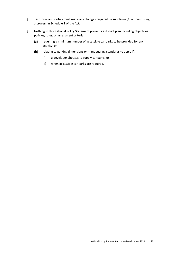- $(2)$ Territorial authorities must make any changes required by subclause (1) without using a process in Schedule 1 of the Act.
- $(3)$ Nothing in this National Policy Statement prevents a district plan including objectives. policies, rules, or assessment criteria:
	- $(a)$ requiring a minimum number of accessible car parks to be provided for any activity; or
	- $(b)$ relating to parking dimensions or manoeuvring standards to apply if:
		- (i) a developer chooses to supply car parks; or
		- (ii) when accessible car parks are required.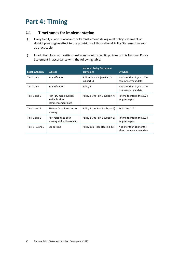## <span id="page-29-0"></span>**Part 4: Timing**

#### <span id="page-29-1"></span>**4.1 Timeframes for implementation**

- $(1)$ Every tier 1, 2, and 3 local authority must amend its regional policy statement or district plan to give effect to the provisions of this National Policy Statement as soon as practicable
- $(2)$ In addition, local authorities must comply with specific policies of this National Policy Statement in accordance with the following table:

| Local authority   | <b>Subject</b>                                                  | <b>National Policy Statement</b><br>provisions | By when                                             |
|-------------------|-----------------------------------------------------------------|------------------------------------------------|-----------------------------------------------------|
| Tier 1 only       | Intensification                                                 | Policies 3 and 4 (see Part 3<br>subpart 6)     | Not later than 2 years after<br>commencement date   |
| Tier 2 only       | Intensification                                                 | Policy 5                                       | Not later than 2 years after<br>commencement date   |
| Tiers 1 and 2     | First FDS made publicly<br>available after<br>commencement date | Policy 2 (see Part 3 subpart 4)                | In time to inform the 2024<br>long-term plan        |
| Tiers 1 and 2     | HBA so far as it relates to<br>housing                          | Policy 2 (see Part 3 subpart 5)                | By 31 July 2021                                     |
| Tiers 1 and 2     | HBA relating to both<br>housing and business land               | Policy 2 (see Part 3 subpart 5)                | In time to inform the 2024<br>long-term plan        |
| Tiers 1, 2, and 3 | Car parking                                                     | Policy 11(a) (see clause 3.38)                 | Not later than 18 months<br>after commencement date |